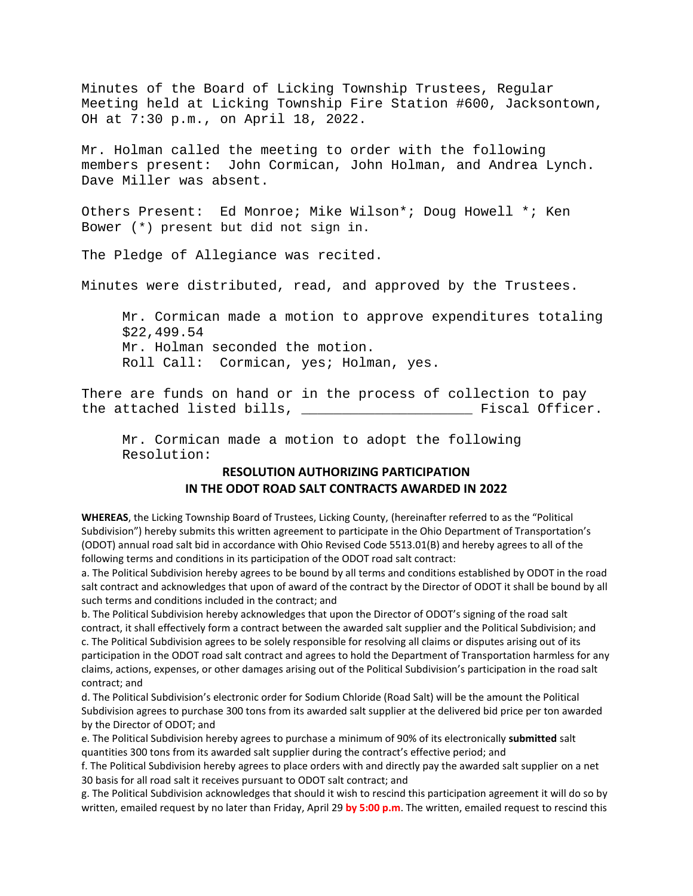Minutes of the Board of Licking Township Trustees, Regular Meeting held at Licking Township Fire Station #600, Jacksontown, OH at 7:30 p.m., on April 18, 2022.

Mr. Holman called the meeting to order with the following members present: John Cormican, John Holman, and Andrea Lynch. Dave Miller was absent.

Others Present: Ed Monroe; Mike Wilson\*; Doug Howell \*; Ken Bower (\*) present but did not sign in.

The Pledge of Allegiance was recited.

Minutes were distributed, read, and approved by the Trustees.

Mr. Cormican made a motion to approve expenditures totaling \$22,499.54 Mr. Holman seconded the motion. Roll Call: Cormican, yes; Holman, yes.

There are funds on hand or in the process of collection to pay the attached listed bills, \_\_\_\_\_\_\_\_\_\_\_\_\_\_\_\_\_\_\_\_\_ Fiscal Officer.

Mr. Cormican made a motion to adopt the following Resolution:

## **RESOLUTION AUTHORIZING PARTICIPATION IN THE ODOT ROAD SALT CONTRACTS AWARDED IN 2022**

**WHEREAS**, the Licking Township Board of Trustees, Licking County, (hereinafter referred to as the "Political Subdivision") hereby submits this written agreement to participate in the Ohio Department of Transportation's (ODOT) annual road salt bid in accordance with Ohio Revised Code 5513.01(B) and hereby agrees to all of the following terms and conditions in its participation of the ODOT road salt contract:

a. The Political Subdivision hereby agrees to be bound by all terms and conditions established by ODOT in the road salt contract and acknowledges that upon of award of the contract by the Director of ODOT it shall be bound by all such terms and conditions included in the contract; and

b. The Political Subdivision hereby acknowledges that upon the Director of ODOT's signing of the road salt contract, it shall effectively form a contract between the awarded salt supplier and the Political Subdivision; and c. The Political Subdivision agrees to be solely responsible for resolving all claims or disputes arising out of its participation in the ODOT road salt contract and agrees to hold the Department of Transportation harmless for any claims, actions, expenses, or other damages arising out of the Political Subdivision's participation in the road salt contract; and

d. The Political Subdivision's electronic order for Sodium Chloride (Road Salt) will be the amount the Political Subdivision agrees to purchase 300 tons from its awarded salt supplier at the delivered bid price per ton awarded by the Director of ODOT; and

e. The Political Subdivision hereby agrees to purchase a minimum of 90% of its electronically **submitted** salt quantities 300 tons from its awarded salt supplier during the contract's effective period; and

f. The Political Subdivision hereby agrees to place orders with and directly pay the awarded salt supplier on a net 30 basis for all road salt it receives pursuant to ODOT salt contract; and

g. The Political Subdivision acknowledges that should it wish to rescind this participation agreement it will do so by written, emailed request by no later than Friday, April 29 **by 5:00 p.m**. The written, emailed request to rescind this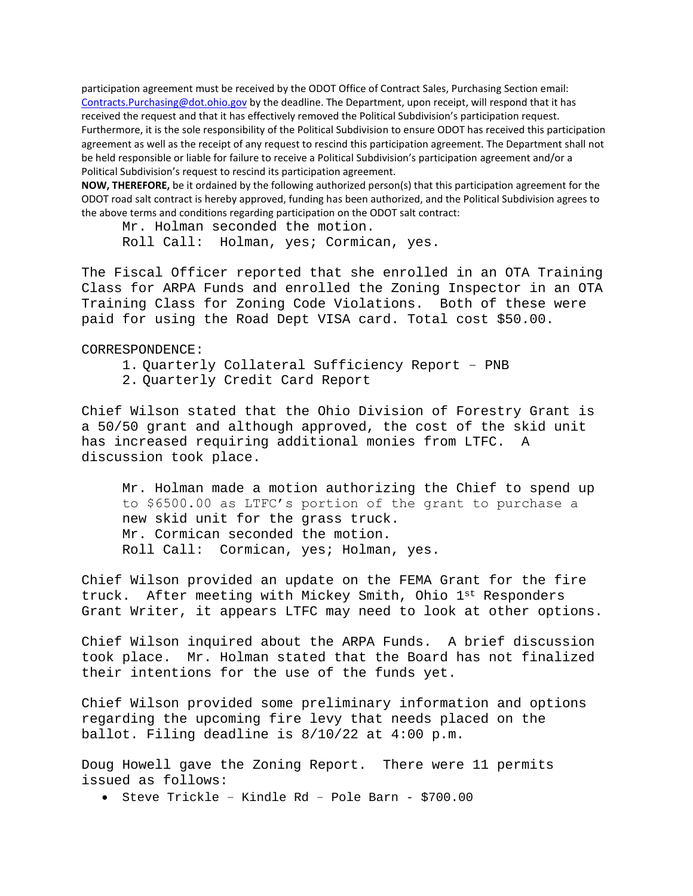participation agreement must be received by the ODOT Office of Contract Sales, Purchasing Section email: Contracts. Purchasing@dot.ohio.gov by the deadline. The Department, upon receipt, will respond that it has received the request and that it has effectively removed the Political Subdivision's participation request. Furthermore, it is the sole responsibility of the Political Subdivision to ensure ODOT has received this participation agreement as well as the receipt of any request to rescind this participation agreement. The Department shall not be held responsible or liable for failure to receive a Political Subdivision's participation agreement and/or a Political Subdivision's request to rescind its participation agreement.

**NOW, THEREFORE,** be it ordained by the following authorized person(s) that this participation agreement for the ODOT road salt contract is hereby approved, funding has been authorized, and the Political Subdivision agrees to the above terms and conditions regarding participation on the ODOT salt contract:

Mr. Holman seconded the motion. Roll Call: Holman, yes; Cormican, yes.

The Fiscal Officer reported that she enrolled in an OTA Training Class for ARPA Funds and enrolled the Zoning Inspector in an OTA Training Class for Zoning Code Violations. Both of these were paid for using the Road Dept VISA card. Total cost \$50.00.

CORRESPONDENCE:

- 1. Quarterly Collateral Sufficiency Report PNB
- 2. Quarterly Credit Card Report

Chief Wilson stated that the Ohio Division of Forestry Grant is a 50/50 grant and although approved, the cost of the skid unit has increased requiring additional monies from LTFC. A discussion took place.

Mr. Holman made a motion authorizing the Chief to spend up to \$6500.00 as LTFC's portion of the grant to purchase a new skid unit for the grass truck. Mr. Cormican seconded the motion. Roll Call: Cormican, yes; Holman, yes.

Chief Wilson provided an update on the FEMA Grant for the fire truck. After meeting with Mickey Smith, Ohio 1st Responders Grant Writer, it appears LTFC may need to look at other options.

Chief Wilson inquired about the ARPA Funds. A brief discussion took place. Mr. Holman stated that the Board has not finalized their intentions for the use of the funds yet.

Chief Wilson provided some preliminary information and options regarding the upcoming fire levy that needs placed on the ballot. Filing deadline is 8/10/22 at 4:00 p.m.

Doug Howell gave the Zoning Report. There were 11 permits issued as follows:

• Steve Trickle – Kindle Rd – Pole Barn - \$700.00